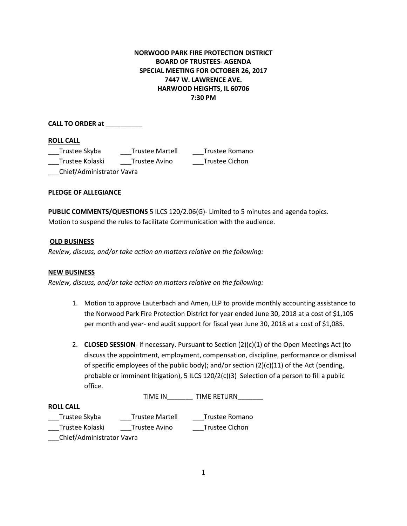# **NORWOOD PARK FIRE PROTECTION DISTRICT BOARD OF TRUSTEES- AGENDA SPECIAL MEETING FOR OCTOBER 26, 2017 7447 W. LAWRENCE AVE. HARWOOD HEIGHTS, IL 60706 7:30 PM**

## **CALL TO ORDER at** \_\_\_\_\_\_\_\_\_\_

## **ROLL CALL**

| Trustee Skyba             | <b>Trustee Martell</b> | Trustee Romano |
|---------------------------|------------------------|----------------|
| Trustee Kolaski           | Trustee Avino          | Trustee Cichon |
| Chief/Administrator Vavra |                        |                |

## **PLEDGE OF ALLEGIANCE**

**PUBLIC COMMENTS/QUESTIONS** 5 ILCS 120/2.06(G)- Limited to 5 minutes and agenda topics. Motion to suspend the rules to facilitate Communication with the audience.

### **OLD BUSINESS**

*Review, discuss, and/or take action on matters relative on the following:*

### **NEW BUSINESS**

*Review, discuss, and/or take action on matters relative on the following:*

- 1. Motion to approve Lauterbach and Amen, LLP to provide monthly accounting assistance to the Norwood Park Fire Protection District for year ended June 30, 2018 at a cost of \$1,105 per month and year- end audit support for fiscal year June 30, 2018 at a cost of \$1,085.
- 2. **CLOSED SESSION** if necessary. Pursuant to Section (2)(c)(1) of the Open Meetings Act (to discuss the appointment, employment, compensation, discipline, performance or dismissal of specific employees of the public body); and/or section  $(2)(c)(11)$  of the Act (pending, probable or imminent litigation), 5 ILCS 120/2(c)(3) Selection of a person to fill a public office.

TIME IN TIME RETURN

### **ROLL CALL**

| Trustee Skyba   | <b>Trustee Martell</b> | Trustee Romano |
|-----------------|------------------------|----------------|
| Trustee Kolaski | Trustee Avino          | Trustee Cichon |

\_\_\_Chief/Administrator Vavra